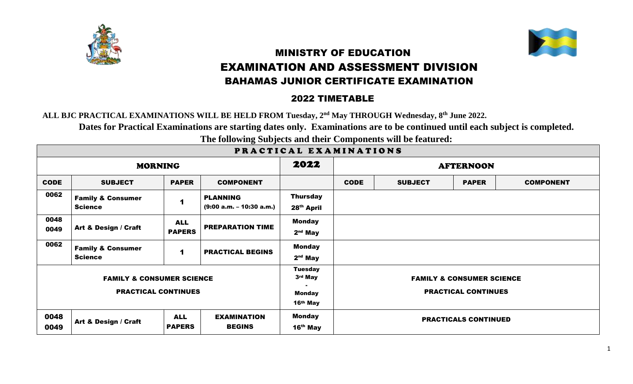



## MINISTRY OF EDUCATION EXAMINATION AND ASSESSMENT DIVISION BAHAMAS JUNIOR CERTIFICATE EXAMINATION

## 2022 TIMETABLE

**ALL BJC P[RACTICA](https://creativecommons.org/licenses/by-sa/3.0/)L EXAMINATIONS WILL BE HELD FROM Tuesday, 2 nd May THROUGH Wednesday, 8 th June 2022.**

**Dates for Practical Examinations are starting dates only. Examinations are to be continued until each subject is completed.**

**The following Subjects and their Components will be featured:**

| PRACTICAL EXAMINATIONS                                             |                                                |                             |                                               |                                                        |                             |                                                                    |              |                  |  |  |
|--------------------------------------------------------------------|------------------------------------------------|-----------------------------|-----------------------------------------------|--------------------------------------------------------|-----------------------------|--------------------------------------------------------------------|--------------|------------------|--|--|
| <b>MORNING</b>                                                     |                                                |                             |                                               | 2022                                                   | <b>AFTERNOON</b>            |                                                                    |              |                  |  |  |
| <b>CODE</b>                                                        | <b>SUBJECT</b>                                 | <b>PAPER</b>                | <b>COMPONENT</b>                              |                                                        | <b>CODE</b>                 | <b>SUBJECT</b>                                                     | <b>PAPER</b> | <b>COMPONENT</b> |  |  |
| 0062                                                               | <b>Family &amp; Consumer</b><br><b>Science</b> | 1                           | <b>PLANNING</b><br>$(9:00 a.m. - 10:30 a.m.)$ | <b>Thursday</b><br>28 <sup>th</sup> April              |                             |                                                                    |              |                  |  |  |
| 0048<br>0049                                                       | Art & Design / Craft                           | <b>ALL</b><br><b>PAPERS</b> | <b>PREPARATION TIME</b>                       | <b>Monday</b><br>$2nd$ May                             |                             |                                                                    |              |                  |  |  |
| 0062                                                               | <b>Family &amp; Consumer</b><br><b>Science</b> | 1                           | <b>PRACTICAL BEGINS</b>                       | <b>Monday</b><br>$2nd$ May                             |                             |                                                                    |              |                  |  |  |
| <b>FAMILY &amp; CONSUMER SCIENCE</b><br><b>PRACTICAL CONTINUES</b> |                                                |                             |                                               | <b>Tuesday</b><br>3rd May<br><b>Monday</b><br>16th May |                             | <b>FAMILY &amp; CONSUMER SCIENCE</b><br><b>PRACTICAL CONTINUES</b> |              |                  |  |  |
| 0048<br>0049                                                       | Art & Design / Craft                           | <b>ALL</b><br><b>PAPERS</b> | <b>EXAMINATION</b><br><b>BEGINS</b>           | <b>Monday</b><br>$16th$ May                            | <b>PRACTICALS CONTINUED</b> |                                                                    |              |                  |  |  |

PRACTICAL EXAMINATIONS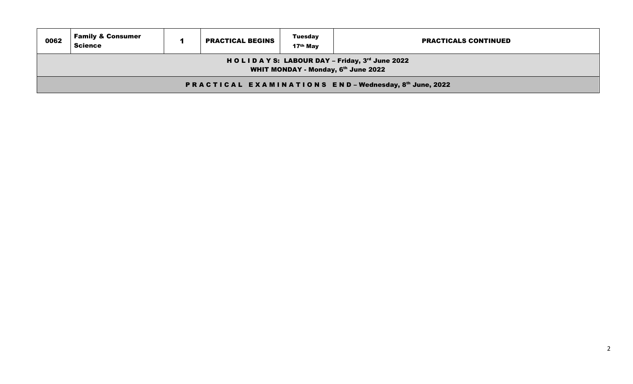| 0062                                                                                       | <b>Family &amp; Consumer</b><br><b>Tuesday</b><br><b>PRACTICAL BEGINS</b><br><b>PRACTICALS CONTINUED</b><br><b>Science</b><br>17 <sup>th</sup> May |  |  |  |  |  |  |  |  |
|--------------------------------------------------------------------------------------------|----------------------------------------------------------------------------------------------------------------------------------------------------|--|--|--|--|--|--|--|--|
| HOLIDAYS: LABOUR DAY - Friday, 3rd June 2022<br><b>WHIT MONDAY - Monday, 6th June 2022</b> |                                                                                                                                                    |  |  |  |  |  |  |  |  |
| <b>PRACTICAL EXAMINATIONS END-Wednesday, 8th June, 2022</b>                                |                                                                                                                                                    |  |  |  |  |  |  |  |  |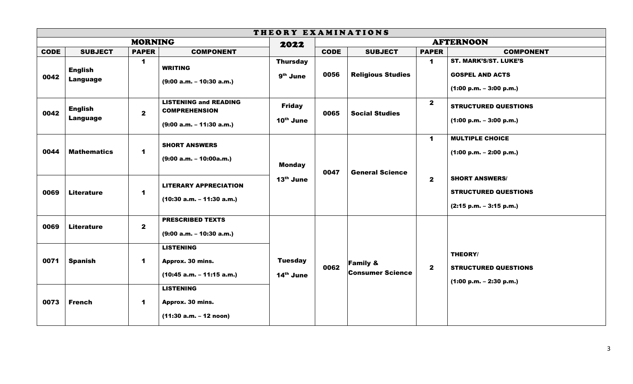| THEORY EXAMINATIONS |                            |              |                                                                                    |                                         |             |                                                |                             |                                                                                     |  |
|---------------------|----------------------------|--------------|------------------------------------------------------------------------------------|-----------------------------------------|-------------|------------------------------------------------|-----------------------------|-------------------------------------------------------------------------------------|--|
| <b>MORNING</b>      |                            |              | 2022                                                                               | <b>AFTERNOON</b>                        |             |                                                |                             |                                                                                     |  |
| <b>CODE</b>         | <b>SUBJECT</b>             | <b>PAPER</b> | <b>COMPONENT</b>                                                                   |                                         | <b>CODE</b> | <b>SUBJECT</b>                                 | <b>PAPER</b>                | <b>COMPONENT</b>                                                                    |  |
| 0042                | <b>English</b><br>Language | $\mathbf 1$  | <b>WRITING</b><br>$(9:00 a.m. - 10:30 a.m.)$                                       | <b>Thursday</b><br>9 <sup>th</sup> June | 0056        | <b>Religious Studies</b>                       | $\mathbf 1$                 | <b>ST. MARK'S/ST. LUKE'S</b><br><b>GOSPEL AND ACTS</b><br>$(1:00 p.m. - 3:00 p.m.)$ |  |
| 0042                | <b>English</b><br>Language | $\mathbf{2}$ | <b>LISTENING and READING</b><br><b>COMPREHENSION</b><br>$(9:00 a.m. - 11:30 a.m.)$ | <b>Friday</b><br>10th June              | 0065        | <b>Social Studies</b>                          | $\mathbf{2}$                | <b>STRUCTURED QUESTIONS</b><br>$(1:00 p.m. - 3:00 p.m.)$                            |  |
| 0044                | <b>Mathematics</b>         | $\mathbf 1$  | <b>SHORT ANSWERS</b><br>$(9:00 a.m. - 10:00a.m.)$                                  | <b>Monday</b><br>13th June              | 0047        | <b>General Science</b>                         | $\mathbf 1$<br>$\mathbf{2}$ | <b>MULTIPLE CHOICE</b><br>$(1:00 p.m. - 2:00 p.m.)$                                 |  |
| 0069                | <b>Literature</b>          | $\mathbf 1$  | <b>LITERARY APPRECIATION</b><br>$(10:30 a.m. - 11:30 a.m.)$                        |                                         |             |                                                |                             | <b>SHORT ANSWERS/</b><br><b>STRUCTURED QUESTIONS</b><br>$(2:15 p.m. - 3:15 p.m.)$   |  |
| 0069                | <b>Literature</b>          | $\mathbf{2}$ | <b>PRESCRIBED TEXTS</b><br>$(9:00 a.m. - 10:30 a.m.)$                              | <b>Tuesday</b><br>14th June             | 0062        | <b>Family &amp;</b><br><b>Consumer Science</b> | $\mathbf{2}$                |                                                                                     |  |
| 0071                | <b>Spanish</b>             | $\mathbf 1$  | <b>LISTENING</b><br>Approx. 30 mins.<br>$(10:45 a.m. - 11:15 a.m.)$                |                                         |             |                                                |                             | THEORY/<br><b>STRUCTURED QUESTIONS</b><br>$(1:00 p.m. - 2:30 p.m.)$                 |  |
| 0073                | <b>French</b>              | $\mathbf 1$  | <b>LISTENING</b><br>Approx. 30 mins.<br>$(11:30 a.m. - 12 noon)$                   |                                         |             |                                                |                             |                                                                                     |  |